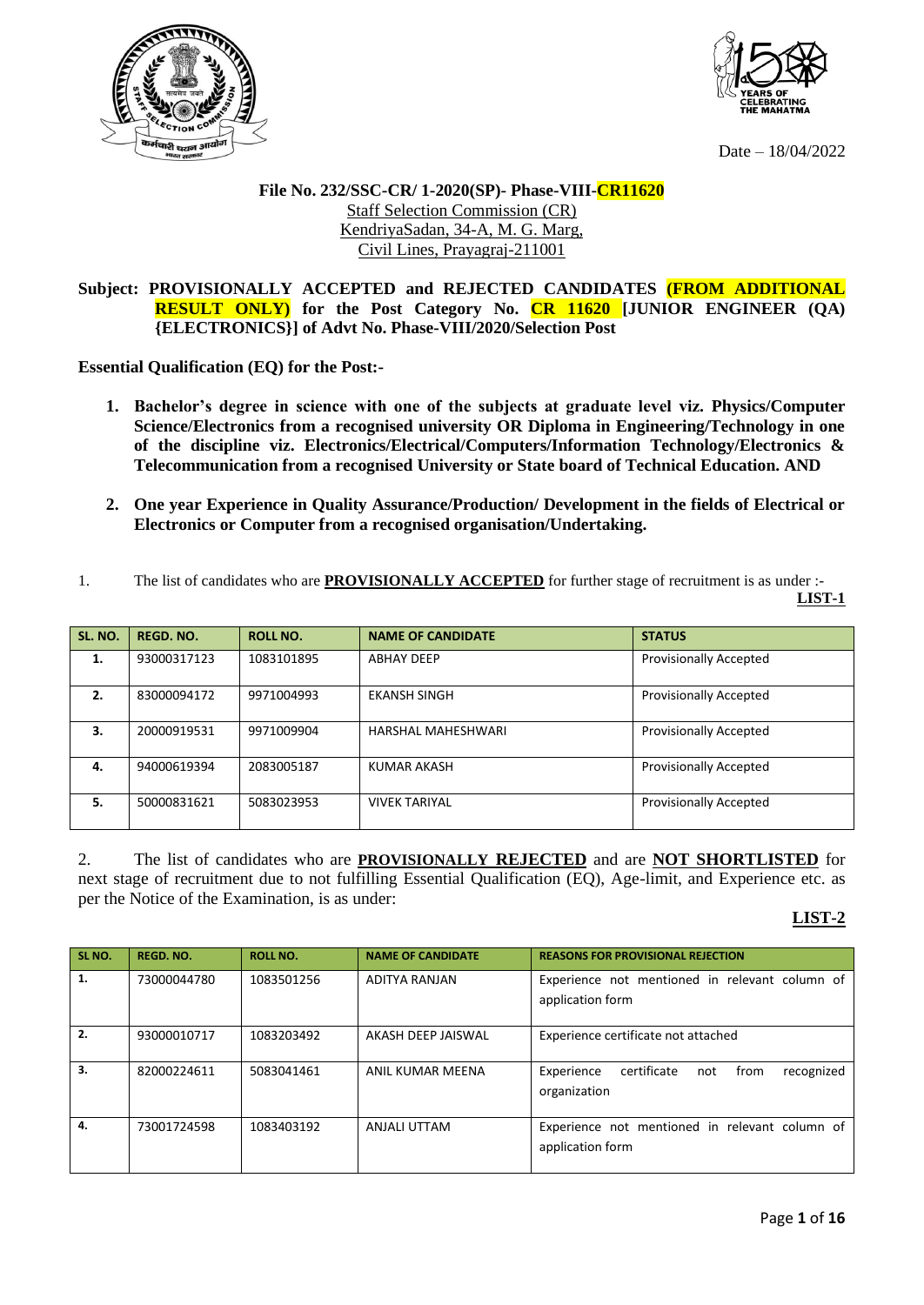



Date – 18/04/2022

## **File No. 232/SSC-CR/ 1-2020(SP)- Phase-VIII-CR11620** Staff Selection Commission (CR) KendriyaSadan, 34-A, M. G. Marg, Civil Lines, Prayagraj-211001

## **Subject: PROVISIONALLY ACCEPTED and REJECTED CANDIDATES (FROM ADDITIONAL RESULT ONLY) for the Post Category No. CR 11620 [JUNIOR ENGINEER (QA) {ELECTRONICS}] of Advt No. Phase-VIII/2020/Selection Post**

**Essential Qualification (EQ) for the Post:-**

- **1. Bachelor's degree in science with one of the subjects at graduate level viz. Physics/Computer Science/Electronics from a recognised university OR Diploma in Engineering/Technology in one of the discipline viz. Electronics/Electrical/Computers/Information Technology/Electronics & Telecommunication from a recognised University or State board of Technical Education. AND**
- **2. One year Experience in Quality Assurance/Production/ Development in the fields of Electrical or Electronics or Computer from a recognised organisation/Undertaking.**

| The list of candidates who are <b>PROVISIONALLY ACCEPTED</b> for further stage of recruitment is as under :- |
|--------------------------------------------------------------------------------------------------------------|
| LIST-1                                                                                                       |

| SL. NO. | <b>REGD. NO.</b> | <b>ROLL NO.</b> | <b>NAME OF CANDIDATE</b> | <b>STATUS</b>                 |
|---------|------------------|-----------------|--------------------------|-------------------------------|
| 1.      | 93000317123      | 1083101895      | <b>ABHAY DEEP</b>        | <b>Provisionally Accepted</b> |
| 2.      | 83000094172      | 9971004993      | <b>EKANSH SINGH</b>      | <b>Provisionally Accepted</b> |
| 3.      | 20000919531      | 9971009904      | HARSHAL MAHESHWARI       | <b>Provisionally Accepted</b> |
| 4.      | 94000619394      | 2083005187      | KUMAR AKASH              | <b>Provisionally Accepted</b> |
| 5.      | 50000831621      | 5083023953      | <b>VIVEK TARIYAL</b>     | <b>Provisionally Accepted</b> |

2. The list of candidates who are **PROVISIONALLY REJECTED** and are **NOT SHORTLISTED** for next stage of recruitment due to not fulfilling Essential Qualification (EQ), Age-limit, and Experience etc. as per the Notice of the Examination, is as under:

## **LIST-2**

| SL NO. | REGD, NO.   | <b>ROLL NO.</b> | <b>NAME OF CANDIDATE</b> | <b>REASONS FOR PROVISIONAL REJECTION</b>                               |
|--------|-------------|-----------------|--------------------------|------------------------------------------------------------------------|
| 1.     | 73000044780 | 1083501256      | ADITYA RANJAN            | Experience not mentioned in relevant column of<br>application form     |
| 2.     | 93000010717 | 1083203492      | AKASH DEEP JAISWAL       | Experience certificate not attached                                    |
| 3.     | 82000224611 | 5083041461      | ANIL KUMAR MEENA         | certificate<br>Experience<br>from<br>recognized<br>not<br>organization |
| 4.     | 73001724598 | 1083403192      | ANJALI UTTAM             | Experience not mentioned in relevant column of<br>application form     |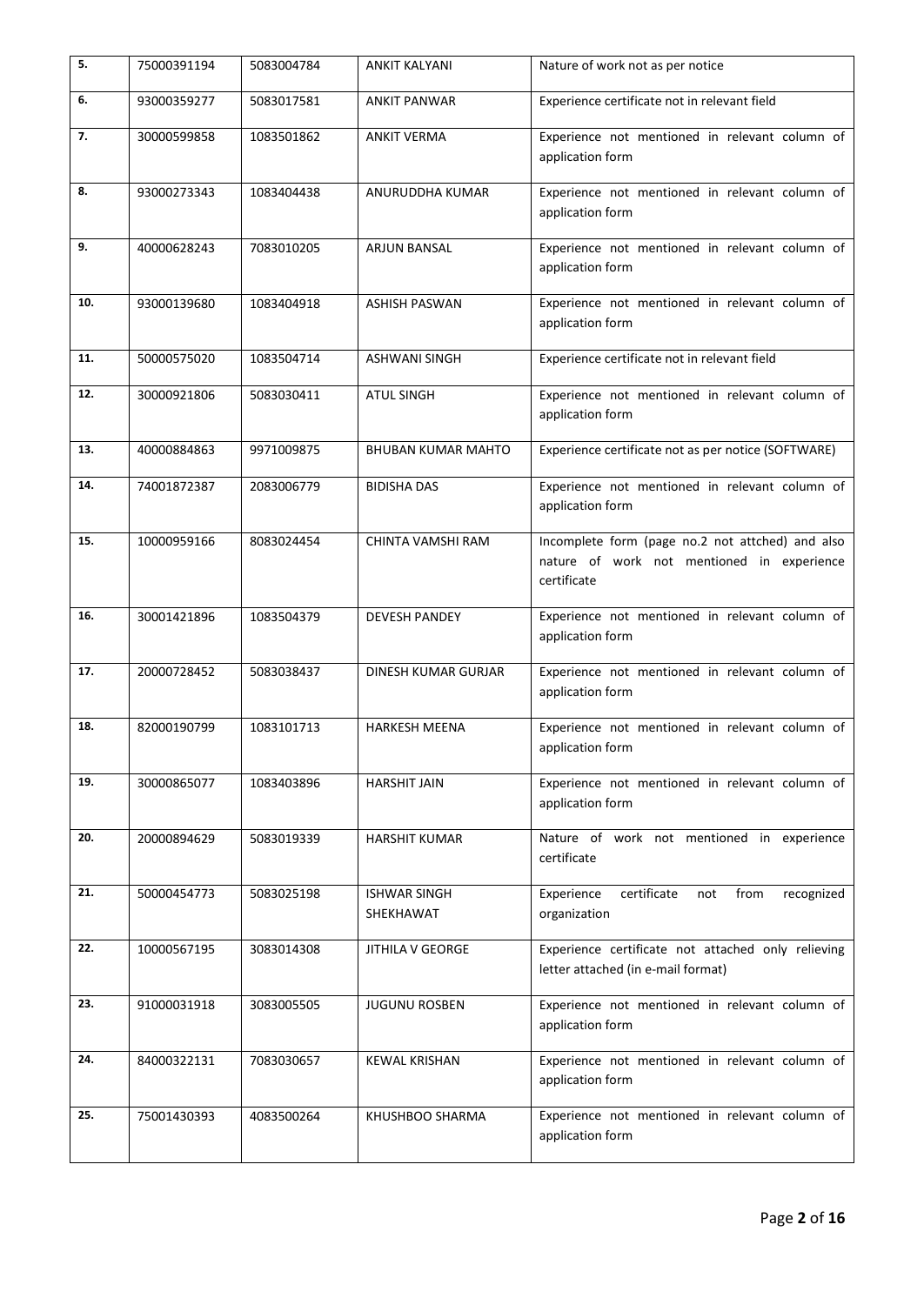| 5.  | 75000391194 | 5083004784 | ANKIT KALYANI                    | Nature of work not as per notice                                                                              |
|-----|-------------|------------|----------------------------------|---------------------------------------------------------------------------------------------------------------|
| 6.  | 93000359277 | 5083017581 | <b>ANKIT PANWAR</b>              | Experience certificate not in relevant field                                                                  |
| 7.  | 30000599858 | 1083501862 | <b>ANKIT VERMA</b>               | Experience not mentioned in relevant column of<br>application form                                            |
| 8.  | 93000273343 | 1083404438 | ANURUDDHA KUMAR                  | Experience not mentioned in relevant column of<br>application form                                            |
| 9.  | 40000628243 | 7083010205 | ARJUN BANSAL                     | Experience not mentioned in relevant column of<br>application form                                            |
| 10. | 93000139680 | 1083404918 | <b>ASHISH PASWAN</b>             | Experience not mentioned in relevant column of<br>application form                                            |
| 11. | 50000575020 | 1083504714 | <b>ASHWANI SINGH</b>             | Experience certificate not in relevant field                                                                  |
| 12. | 30000921806 | 5083030411 | <b>ATUL SINGH</b>                | Experience not mentioned in relevant column of<br>application form                                            |
| 13. | 40000884863 | 9971009875 | <b>BHUBAN KUMAR MAHTO</b>        | Experience certificate not as per notice (SOFTWARE)                                                           |
| 14. | 74001872387 | 2083006779 | <b>BIDISHA DAS</b>               | Experience not mentioned in relevant column of<br>application form                                            |
| 15. | 10000959166 | 8083024454 | CHINTA VAMSHI RAM                | Incomplete form (page no.2 not attched) and also<br>nature of work not mentioned in experience<br>certificate |
| 16. | 30001421896 | 1083504379 | <b>DEVESH PANDEY</b>             | Experience not mentioned in relevant column of<br>application form                                            |
| 17. | 20000728452 | 5083038437 | <b>DINESH KUMAR GURJAR</b>       | Experience not mentioned in relevant column of<br>application form                                            |
| 18. | 82000190799 | 1083101713 | <b>HARKESH MEENA</b>             | Experience not mentioned in relevant column of<br>application form                                            |
| 19. | 30000865077 | 1083403896 | <b>HARSHIT JAIN</b>              | Experience not mentioned in relevant column of<br>application form                                            |
| 20. | 20000894629 | 5083019339 | <b>HARSHIT KUMAR</b>             | Nature of work not mentioned in experience<br>certificate                                                     |
| 21. | 50000454773 | 5083025198 | <b>ISHWAR SINGH</b><br>SHEKHAWAT | certificate<br>Experience<br>from<br>not<br>recognized<br>organization                                        |
| 22. | 10000567195 | 3083014308 | <b>JITHILA V GEORGE</b>          | Experience certificate not attached only relieving<br>letter attached (in e-mail format)                      |
| 23. | 91000031918 | 3083005505 | <b>JUGUNU ROSBEN</b>             | Experience not mentioned in relevant column of<br>application form                                            |
| 24. | 84000322131 | 7083030657 | <b>KEWAL KRISHAN</b>             | Experience not mentioned in relevant column of<br>application form                                            |
| 25. | 75001430393 | 4083500264 | KHUSHBOO SHARMA                  | Experience not mentioned in relevant column of<br>application form                                            |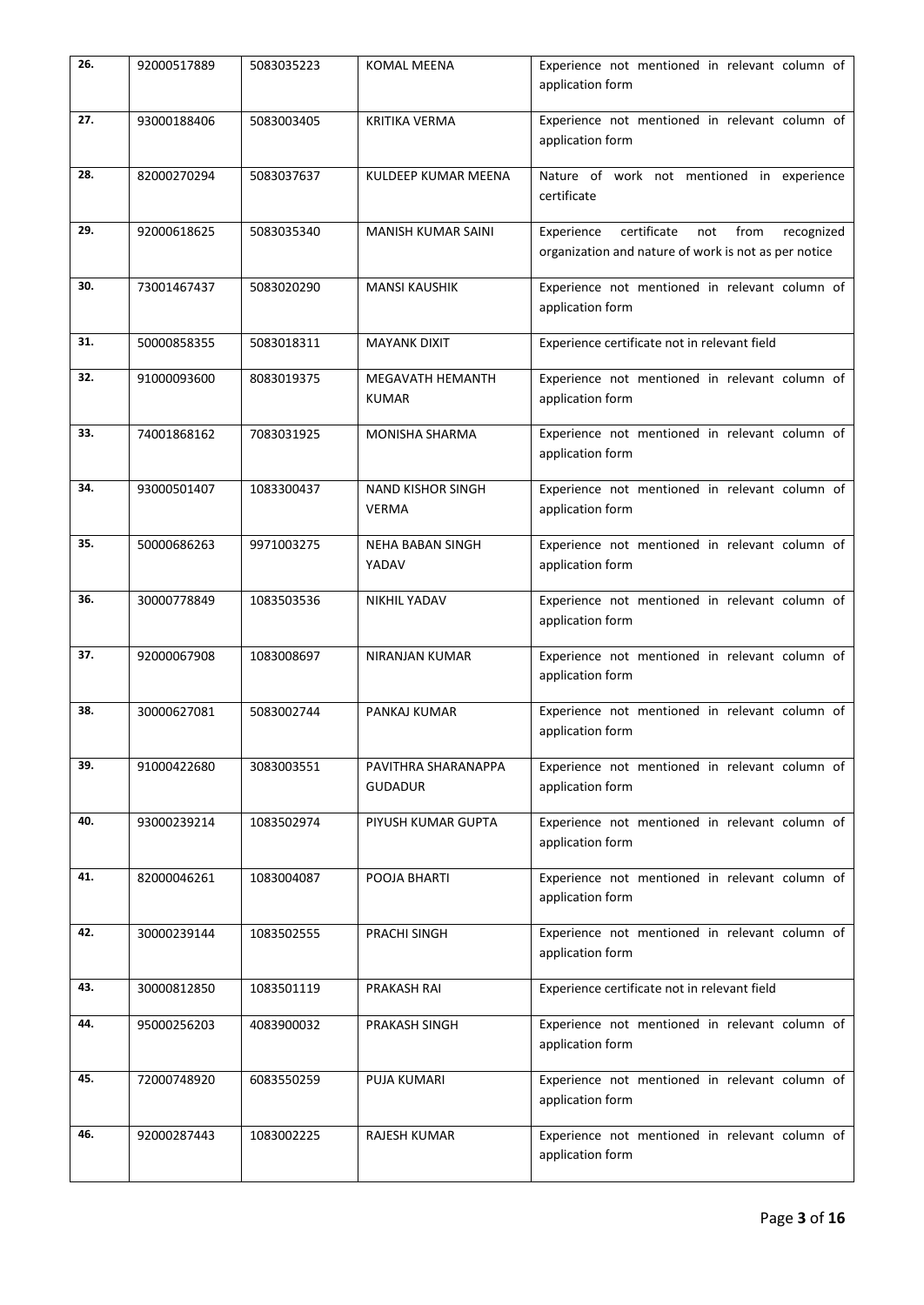| 26. | 92000517889 | 5083035223 | <b>KOMAL MEENA</b>                       | Experience not mentioned in relevant column of<br>application form                                             |
|-----|-------------|------------|------------------------------------------|----------------------------------------------------------------------------------------------------------------|
| 27. | 93000188406 | 5083003405 | <b>KRITIKA VERMA</b>                     | Experience not mentioned in relevant column of<br>application form                                             |
| 28. | 82000270294 | 5083037637 | KULDEEP KUMAR MEENA                      | Nature of work not mentioned in experience<br>certificate                                                      |
| 29. | 92000618625 | 5083035340 | <b>MANISH KUMAR SAINI</b>                | certificate<br>not<br>from<br>Experience<br>recognized<br>organization and nature of work is not as per notice |
| 30. | 73001467437 | 5083020290 | <b>MANSI KAUSHIK</b>                     | Experience not mentioned in relevant column of<br>application form                                             |
| 31. | 50000858355 | 5083018311 | <b>MAYANK DIXIT</b>                      | Experience certificate not in relevant field                                                                   |
| 32. | 91000093600 | 8083019375 | MEGAVATH HEMANTH<br><b>KUMAR</b>         | Experience not mentioned in relevant column of<br>application form                                             |
| 33. | 74001868162 | 7083031925 | <b>MONISHA SHARMA</b>                    | Experience not mentioned in relevant column of<br>application form                                             |
| 34. | 93000501407 | 1083300437 | <b>NAND KISHOR SINGH</b><br><b>VERMA</b> | Experience not mentioned in relevant column of<br>application form                                             |
| 35. | 50000686263 | 9971003275 | <b>NEHA BABAN SINGH</b><br>YADAV         | Experience not mentioned in relevant column of<br>application form                                             |
| 36. | 30000778849 | 1083503536 | <b>NIKHIL YADAV</b>                      | Experience not mentioned in relevant column of<br>application form                                             |
| 37. | 92000067908 | 1083008697 | NIRANJAN KUMAR                           | Experience not mentioned in relevant column of<br>application form                                             |
| 38. | 30000627081 | 5083002744 | PANKAJ KUMAR                             | Experience not mentioned in relevant column of<br>application form                                             |
| 39. | 91000422680 | 3083003551 | PAVITHRA SHARANAPPA<br><b>GUDADUR</b>    | Experience not mentioned in relevant column of<br>application form                                             |
| 40. | 93000239214 | 1083502974 | PIYUSH KUMAR GUPTA                       | Experience not mentioned in relevant column of<br>application form                                             |
| 41. | 82000046261 | 1083004087 | POOJA BHARTI                             | Experience not mentioned in relevant column of<br>application form                                             |
| 42. | 30000239144 | 1083502555 | PRACHI SINGH                             | Experience not mentioned in relevant column of<br>application form                                             |
| 43. | 30000812850 | 1083501119 | PRAKASH RAI                              | Experience certificate not in relevant field                                                                   |
| 44. | 95000256203 | 4083900032 | PRAKASH SINGH                            | Experience not mentioned in relevant column of<br>application form                                             |
| 45. | 72000748920 | 6083550259 | PUJA KUMARI                              | Experience not mentioned in relevant column of<br>application form                                             |
| 46. | 92000287443 | 1083002225 | <b>RAJESH KUMAR</b>                      | Experience not mentioned in relevant column of<br>application form                                             |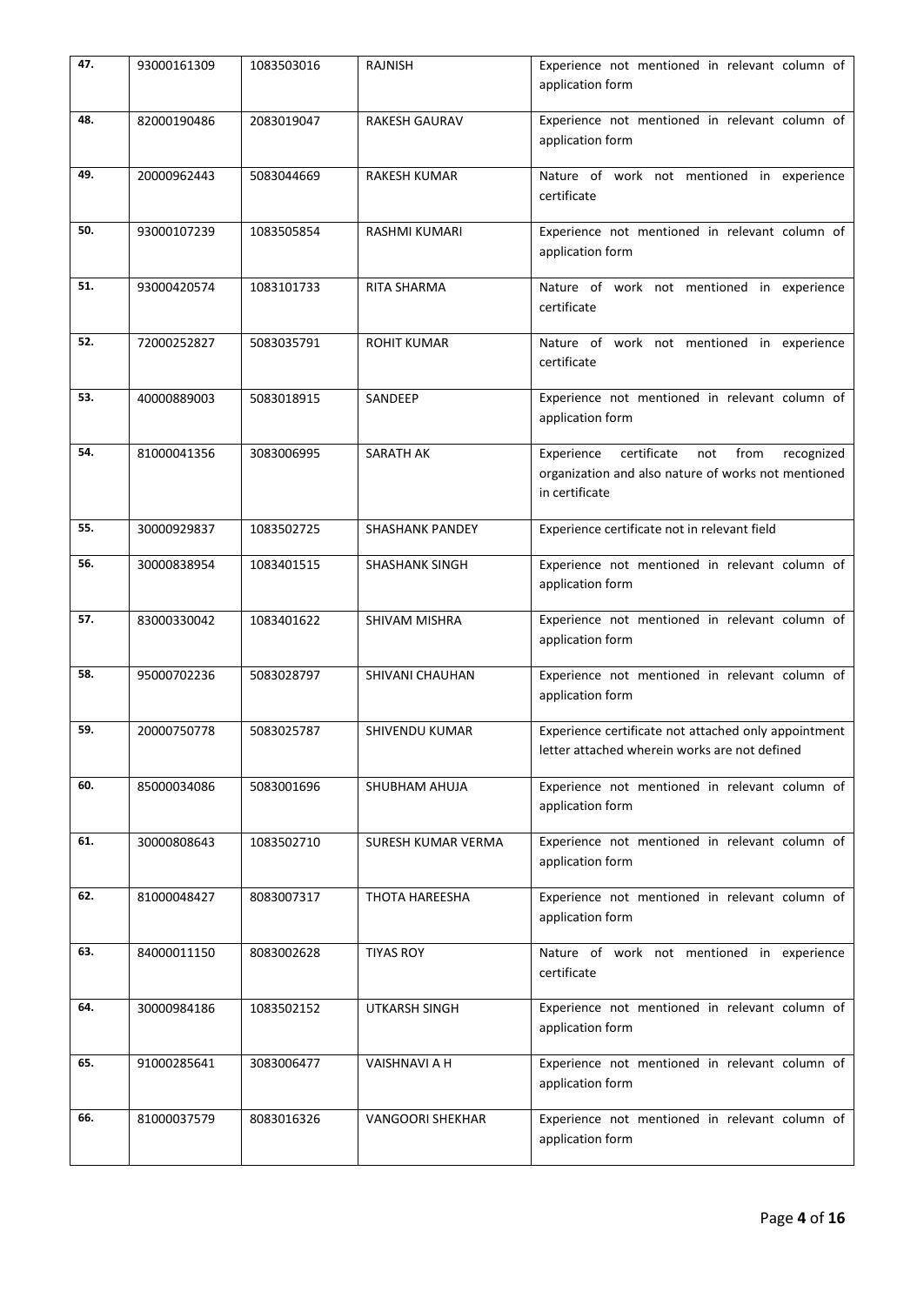| 47. | 93000161309 | 1083503016 | <b>RAJNISH</b>          | Experience not mentioned in relevant column of<br>application form                                                              |
|-----|-------------|------------|-------------------------|---------------------------------------------------------------------------------------------------------------------------------|
| 48. | 82000190486 | 2083019047 | <b>RAKESH GAURAV</b>    | Experience not mentioned in relevant column of<br>application form                                                              |
| 49. | 20000962443 | 5083044669 | <b>RAKESH KUMAR</b>     | Nature of work not mentioned in experience<br>certificate                                                                       |
| 50. | 93000107239 | 1083505854 | <b>RASHMI KUMARI</b>    | Experience not mentioned in relevant column of<br>application form                                                              |
| 51. | 93000420574 | 1083101733 | <b>RITA SHARMA</b>      | Nature of work not mentioned in experience<br>certificate                                                                       |
| 52. | 72000252827 | 5083035791 | <b>ROHIT KUMAR</b>      | Nature of work not mentioned in experience<br>certificate                                                                       |
| 53. | 40000889003 | 5083018915 | SANDEEP                 | Experience not mentioned in relevant column of<br>application form                                                              |
| 54. | 81000041356 | 3083006995 | SARATH AK               | certificate<br>Experience<br>not<br>from<br>recognized<br>organization and also nature of works not mentioned<br>in certificate |
| 55. | 30000929837 | 1083502725 | <b>SHASHANK PANDEY</b>  | Experience certificate not in relevant field                                                                                    |
| 56. | 30000838954 | 1083401515 | <b>SHASHANK SINGH</b>   | Experience not mentioned in relevant column of<br>application form                                                              |
| 57. | 83000330042 | 1083401622 | <b>SHIVAM MISHRA</b>    | Experience not mentioned in relevant column of<br>application form                                                              |
| 58. | 95000702236 | 5083028797 | SHIVANI CHAUHAN         | Experience not mentioned in relevant column of<br>application form                                                              |
| 59. | 20000750778 | 5083025787 | SHIVENDU KUMAR          | Experience certificate not attached only appointment<br>letter attached wherein works are not defined                           |
| 60. | 85000034086 | 5083001696 | SHUBHAM AHUJA           | Experience not mentioned in relevant column of<br>application form                                                              |
| 61. | 30000808643 | 1083502710 | SURESH KUMAR VERMA      | Experience not mentioned in relevant column of<br>application form                                                              |
| 62. | 81000048427 | 8083007317 | THOTA HAREESHA          | Experience not mentioned in relevant column of<br>application form                                                              |
| 63. | 84000011150 | 8083002628 | <b>TIYAS ROY</b>        | Nature of work not mentioned in experience<br>certificate                                                                       |
| 64. | 30000984186 | 1083502152 | UTKARSH SINGH           | Experience not mentioned in relevant column of<br>application form                                                              |
| 65. | 91000285641 | 3083006477 | VAISHNAVI A H           | Experience not mentioned in relevant column of<br>application form                                                              |
| 66. | 81000037579 | 8083016326 | <b>VANGOORI SHEKHAR</b> | Experience not mentioned in relevant column of<br>application form                                                              |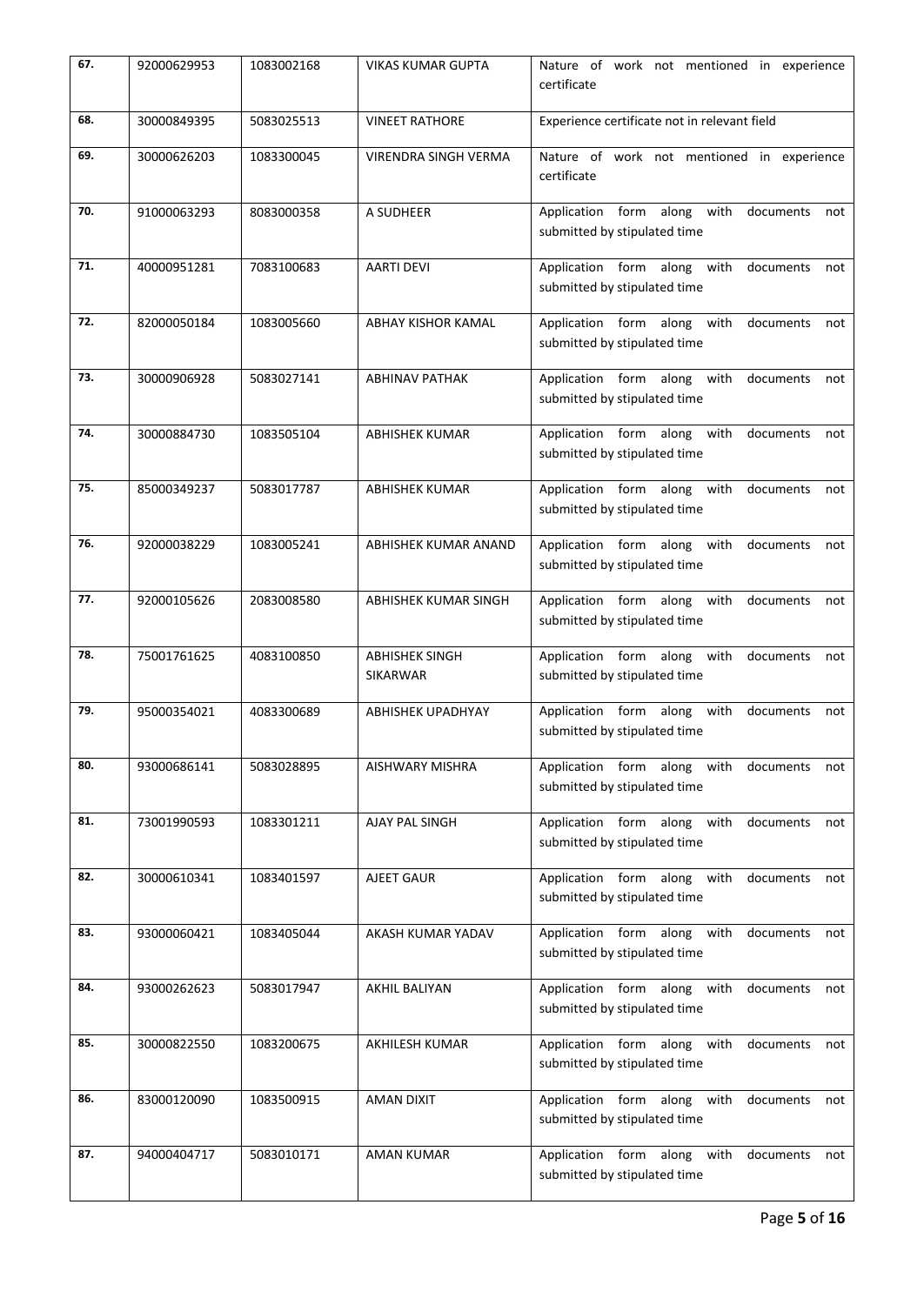| 67. | 92000629953 | 1083002168 | <b>VIKAS KUMAR GUPTA</b>                 | Nature of work not mentioned in experience<br>certificate                          |
|-----|-------------|------------|------------------------------------------|------------------------------------------------------------------------------------|
| 68. | 30000849395 | 5083025513 | <b>VINEET RATHORE</b>                    | Experience certificate not in relevant field                                       |
| 69. | 30000626203 | 1083300045 | VIRENDRA SINGH VERMA                     | Nature of work not mentioned in experience<br>certificate                          |
| 70. | 91000063293 | 8083000358 | A SUDHEER                                | Application form along with<br>documents<br>not<br>submitted by stipulated time    |
| 71. | 40000951281 | 7083100683 | <b>AARTI DEVI</b>                        | Application form along with<br>documents<br>not<br>submitted by stipulated time    |
| 72. | 82000050184 | 1083005660 | <b>ABHAY KISHOR KAMAL</b>                | Application form along with<br>documents<br>not<br>submitted by stipulated time    |
| 73. | 30000906928 | 5083027141 | <b>ABHINAV PATHAK</b>                    | Application form along with<br>documents<br>not<br>submitted by stipulated time    |
| 74. | 30000884730 | 1083505104 | <b>ABHISHEK KUMAR</b>                    | Application form along with<br>documents<br>not<br>submitted by stipulated time    |
| 75. | 85000349237 | 5083017787 | <b>ABHISHEK KUMAR</b>                    | Application form along with<br>documents<br>not<br>submitted by stipulated time    |
| 76. | 92000038229 | 1083005241 | ABHISHEK KUMAR ANAND                     | Application form along with<br>documents<br>not<br>submitted by stipulated time    |
| 77. | 92000105626 | 2083008580 | ABHISHEK KUMAR SINGH                     | Application form along with<br>documents<br>not<br>submitted by stipulated time    |
| 78. | 75001761625 | 4083100850 | <b>ABHISHEK SINGH</b><br><b>SIKARWAR</b> | Application form along with<br>documents<br>not<br>submitted by stipulated time    |
| 79. | 95000354021 | 4083300689 | <b>ABHISHEK UPADHYAY</b>                 | Application form along with<br>documents<br>not<br>submitted by stipulated time    |
| 80. | 93000686141 | 5083028895 | AISHWARY MISHRA                          | Application form along with<br>documents<br>not<br>submitted by stipulated time    |
| 81. | 73001990593 | 1083301211 | AJAY PAL SINGH                           | Application form along with<br>documents<br>not<br>submitted by stipulated time    |
| 82. | 30000610341 | 1083401597 | AJEET GAUR                               | Application form along with<br>documents<br>not<br>submitted by stipulated time    |
| 83. | 93000060421 | 1083405044 | AKASH KUMAR YADAV                        | Application form along with<br>documents<br>not<br>submitted by stipulated time    |
| 84. | 93000262623 | 5083017947 | AKHIL BALIYAN                            | Application form along with<br>documents<br>not<br>submitted by stipulated time    |
| 85. | 30000822550 | 1083200675 | AKHILESH KUMAR                           | Application form along<br>with<br>documents<br>not<br>submitted by stipulated time |
| 86. | 83000120090 | 1083500915 | AMAN DIXIT                               | Application form along with<br>documents<br>not<br>submitted by stipulated time    |
| 87. | 94000404717 | 5083010171 | AMAN KUMAR                               | Application form along<br>with<br>documents<br>not<br>submitted by stipulated time |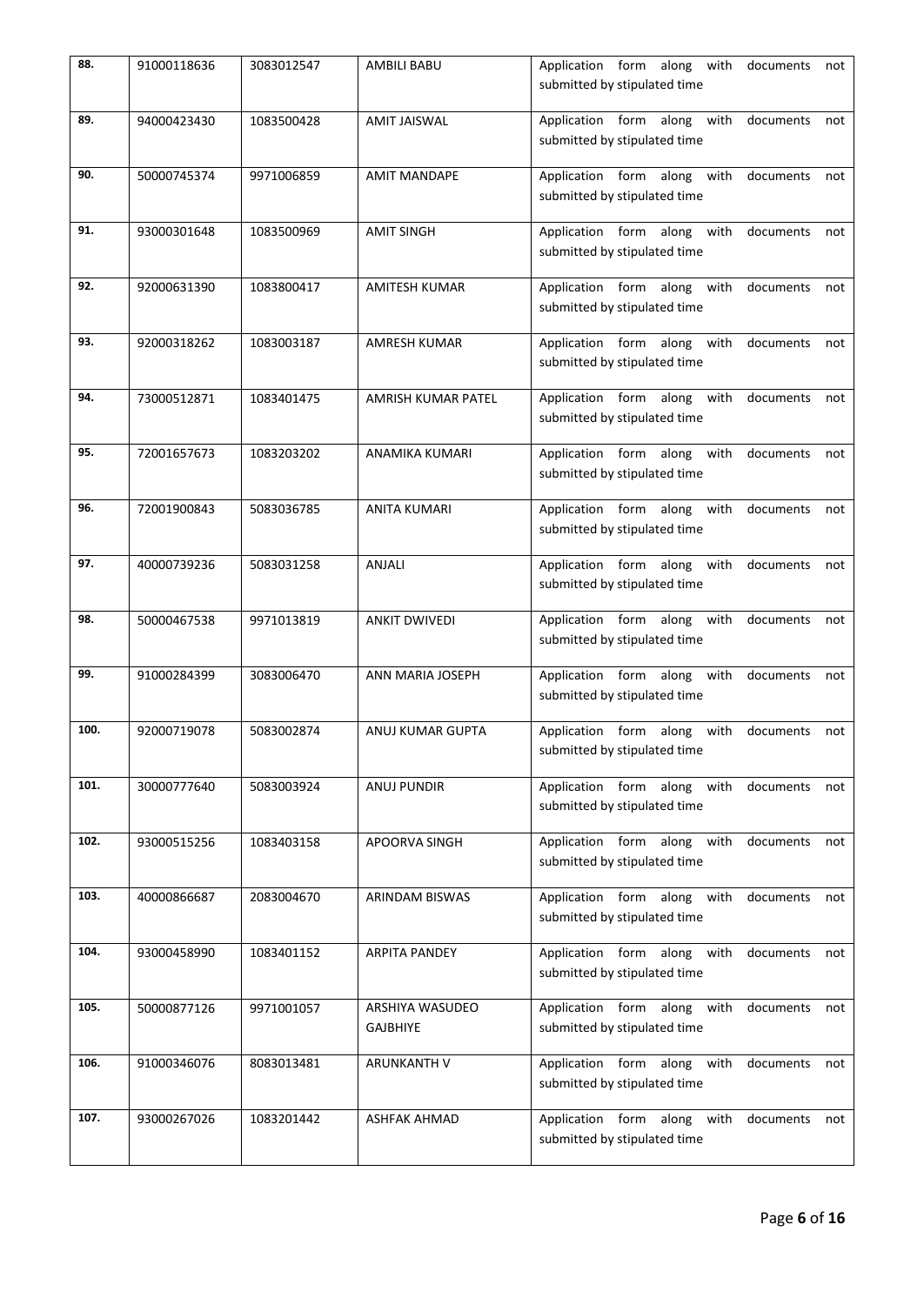| 88.  | 91000118636 | 3083012547 | <b>AMBILI BABU</b>                 | Application form along with documents<br>not<br>submitted by stipulated time    |
|------|-------------|------------|------------------------------------|---------------------------------------------------------------------------------|
| 89.  | 94000423430 | 1083500428 | <b>AMIT JAISWAL</b>                | Application form along with documents<br>not<br>submitted by stipulated time    |
| 90.  | 50000745374 | 9971006859 | <b>AMIT MANDAPE</b>                | Application form along with documents<br>not<br>submitted by stipulated time    |
| 91.  | 93000301648 | 1083500969 | <b>AMIT SINGH</b>                  | Application form along with documents<br>not<br>submitted by stipulated time    |
| 92.  | 92000631390 | 1083800417 | <b>AMITESH KUMAR</b>               | Application form along with documents<br>not<br>submitted by stipulated time    |
| 93.  | 92000318262 | 1083003187 | <b>AMRESH KUMAR</b>                | Application form along with<br>documents<br>not<br>submitted by stipulated time |
| 94.  | 73000512871 | 1083401475 | AMRISH KUMAR PATEL                 | Application form along with<br>documents<br>not<br>submitted by stipulated time |
| 95.  | 72001657673 | 1083203202 | ANAMIKA KUMARI                     | Application form along with<br>documents<br>not<br>submitted by stipulated time |
| 96.  | 72001900843 | 5083036785 | <b>ANITA KUMARI</b>                | Application form along with<br>documents<br>not<br>submitted by stipulated time |
| 97.  | 40000739236 | 5083031258 | <b>ANJALI</b>                      | Application form along with<br>documents<br>not<br>submitted by stipulated time |
| 98.  | 50000467538 | 9971013819 | <b>ANKIT DWIVEDI</b>               | Application form along with<br>documents<br>not<br>submitted by stipulated time |
| 99.  | 91000284399 | 3083006470 | ANN MARIA JOSEPH                   | Application form along with<br>documents<br>not<br>submitted by stipulated time |
| 100. | 92000719078 | 5083002874 | ANUJ KUMAR GUPTA                   | Application form along with<br>documents<br>not<br>submitted by stipulated time |
| 101. | 30000777640 | 5083003924 | <b>ANUJ PUNDIR</b>                 | Application form along with<br>documents<br>not<br>submitted by stipulated time |
| 102. | 93000515256 | 1083403158 | APOORVA SINGH                      | Application form along with<br>documents<br>not<br>submitted by stipulated time |
| 103. | 40000866687 | 2083004670 | ARINDAM BISWAS                     | Application form along with<br>documents<br>not<br>submitted by stipulated time |
| 104. | 93000458990 | 1083401152 | <b>ARPITA PANDEY</b>               | Application form along with<br>documents<br>not<br>submitted by stipulated time |
| 105. | 50000877126 | 9971001057 | ARSHIYA WASUDEO<br><b>GAJBHIYE</b> | Application form along with<br>documents<br>not<br>submitted by stipulated time |
| 106. | 91000346076 | 8083013481 | ARUNKANTH V                        | Application form along with<br>documents<br>not<br>submitted by stipulated time |
| 107. | 93000267026 | 1083201442 | ASHFAK AHMAD                       | Application form along with<br>documents<br>not<br>submitted by stipulated time |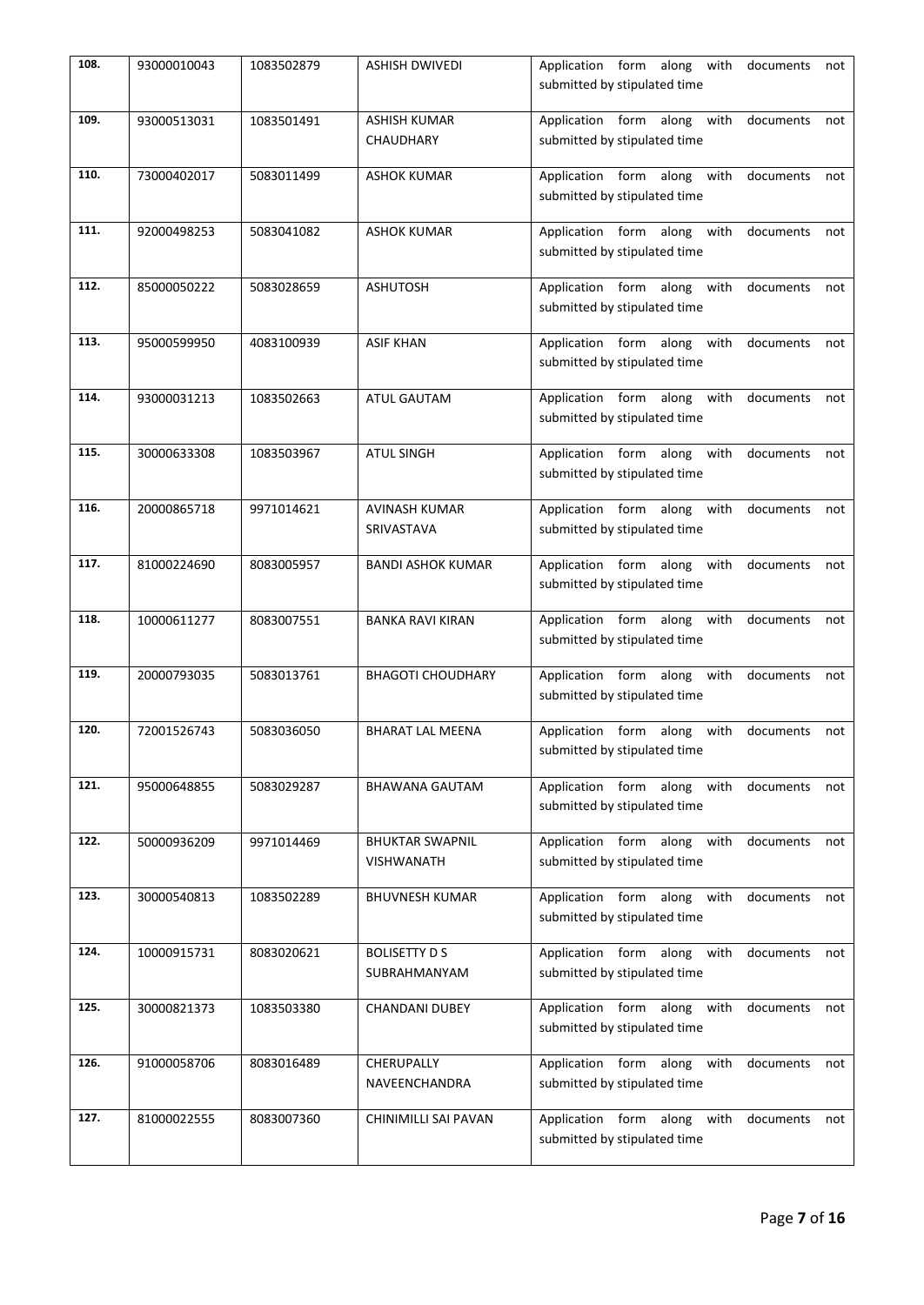| 108. | 93000010043 | 1083502879 | <b>ASHISH DWIVEDI</b>                       | Application form along with documents<br>not<br>submitted by stipulated time    |
|------|-------------|------------|---------------------------------------------|---------------------------------------------------------------------------------|
| 109. | 93000513031 | 1083501491 | <b>ASHISH KUMAR</b><br>CHAUDHARY            | Application form along with documents<br>not<br>submitted by stipulated time    |
| 110. | 73000402017 | 5083011499 | <b>ASHOK KUMAR</b>                          | Application form along with documents<br>not<br>submitted by stipulated time    |
| 111. | 92000498253 | 5083041082 | <b>ASHOK KUMAR</b>                          | Application form along with documents<br>not<br>submitted by stipulated time    |
| 112. | 85000050222 | 5083028659 | <b>ASHUTOSH</b>                             | Application form along with documents<br>not<br>submitted by stipulated time    |
| 113. | 95000599950 | 4083100939 | <b>ASIF KHAN</b>                            | Application form along with<br>documents<br>not<br>submitted by stipulated time |
| 114. | 93000031213 | 1083502663 | ATUL GAUTAM                                 | Application form along with<br>documents<br>not<br>submitted by stipulated time |
| 115. | 30000633308 | 1083503967 | <b>ATUL SINGH</b>                           | Application form along with<br>documents<br>not<br>submitted by stipulated time |
| 116. | 20000865718 | 9971014621 | <b>AVINASH KUMAR</b><br>SRIVASTAVA          | Application form along with<br>documents<br>not<br>submitted by stipulated time |
| 117. | 81000224690 | 8083005957 | <b>BANDI ASHOK KUMAR</b>                    | Application form along with<br>documents<br>not<br>submitted by stipulated time |
| 118. | 10000611277 | 8083007551 | <b>BANKA RAVI KIRAN</b>                     | Application form along with<br>documents<br>not<br>submitted by stipulated time |
| 119. | 20000793035 | 5083013761 | <b>BHAGOTI CHOUDHARY</b>                    | Application form along with<br>documents<br>not<br>submitted by stipulated time |
| 120. | 72001526743 | 5083036050 | <b>BHARAT LAL MEENA</b>                     | Application form along with<br>documents<br>not<br>submitted by stipulated time |
| 121. | 95000648855 | 5083029287 | <b>BHAWANA GAUTAM</b>                       | Application form along with<br>documents<br>not<br>submitted by stipulated time |
| 122. | 50000936209 | 9971014469 | <b>BHUKTAR SWAPNIL</b><br><b>VISHWANATH</b> | Application form along with<br>documents<br>not<br>submitted by stipulated time |
| 123. | 30000540813 | 1083502289 | <b>BHUVNESH KUMAR</b>                       | Application form along with<br>documents<br>not<br>submitted by stipulated time |
| 124. | 10000915731 | 8083020621 | <b>BOLISETTY D S</b><br>SUBRAHMANYAM        | Application form along with<br>documents<br>not<br>submitted by stipulated time |
| 125. | 30000821373 | 1083503380 | <b>CHANDANI DUBEY</b>                       | Application form along with<br>documents<br>not<br>submitted by stipulated time |
| 126. | 91000058706 | 8083016489 | CHERUPALLY<br>NAVEENCHANDRA                 | Application form along with<br>documents<br>not<br>submitted by stipulated time |
| 127. | 81000022555 | 8083007360 | CHINIMILLI SAI PAVAN                        | Application form along with<br>documents<br>not<br>submitted by stipulated time |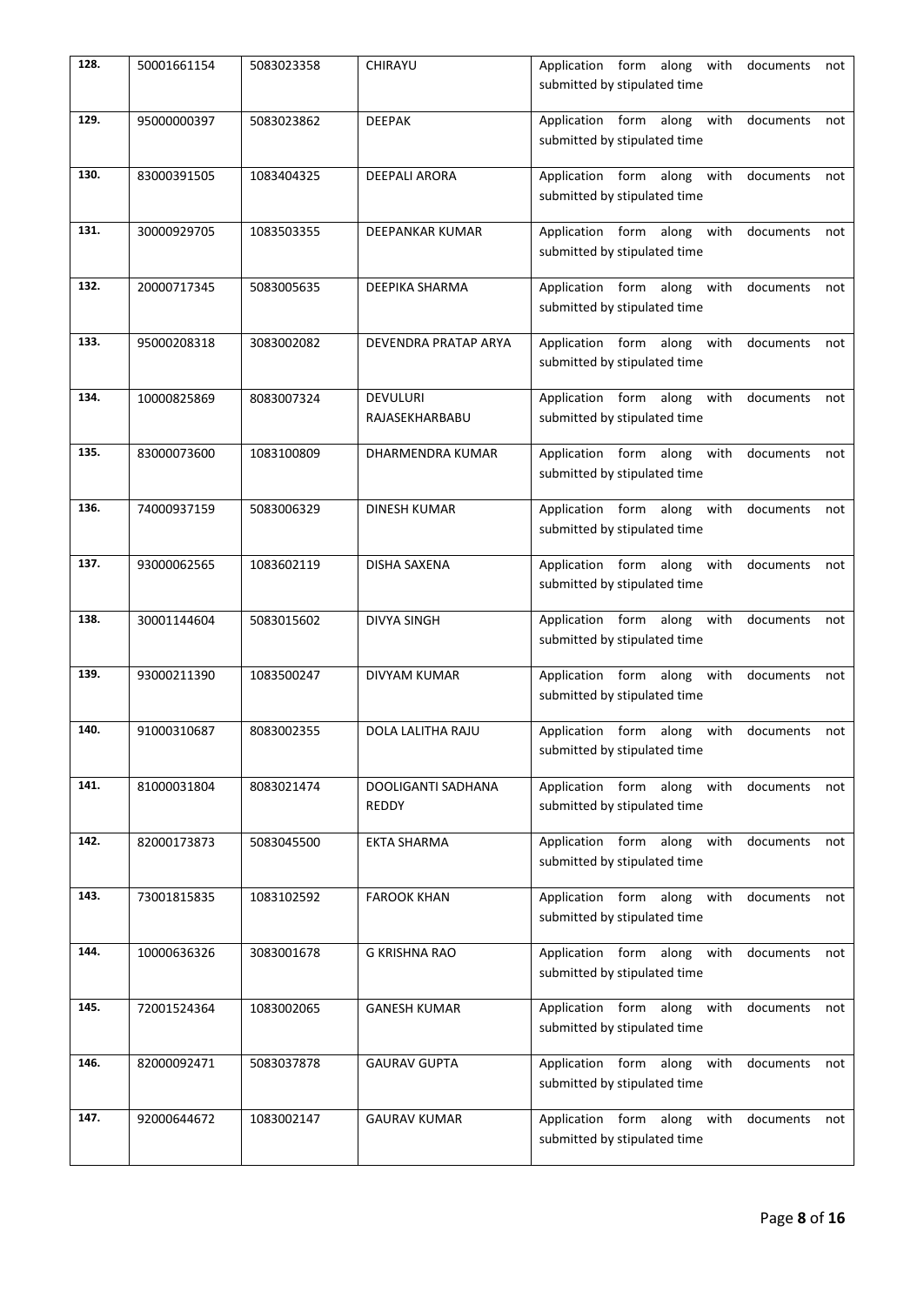| 128. | 50001661154 | 5083023358 | CHIRAYU                           | Application form along with documents<br>not<br>submitted by stipulated time    |
|------|-------------|------------|-----------------------------------|---------------------------------------------------------------------------------|
| 129. | 95000000397 | 5083023862 | <b>DEEPAK</b>                     | Application form along with documents<br>not<br>submitted by stipulated time    |
| 130. | 83000391505 | 1083404325 | <b>DEEPALI ARORA</b>              | Application form along with documents<br>not<br>submitted by stipulated time    |
| 131. | 30000929705 | 1083503355 | <b>DEEPANKAR KUMAR</b>            | Application form along with<br>documents<br>not<br>submitted by stipulated time |
| 132. | 20000717345 | 5083005635 | DEEPIKA SHARMA                    | Application form along with<br>documents<br>not<br>submitted by stipulated time |
| 133. | 95000208318 | 3083002082 | DEVENDRA PRATAP ARYA              | Application form along with<br>documents<br>not<br>submitted by stipulated time |
| 134. | 10000825869 | 8083007324 | <b>DEVULURI</b><br>RAJASEKHARBABU | Application form along with<br>documents<br>not<br>submitted by stipulated time |
| 135. | 83000073600 | 1083100809 | DHARMENDRA KUMAR                  | Application form along with<br>documents<br>not<br>submitted by stipulated time |
| 136. | 74000937159 | 5083006329 | <b>DINESH KUMAR</b>               | Application form along with<br>documents<br>not<br>submitted by stipulated time |
| 137. | 93000062565 | 1083602119 | DISHA SAXENA                      | Application form along with<br>documents<br>not<br>submitted by stipulated time |
| 138. | 30001144604 | 5083015602 | <b>DIVYA SINGH</b>                | Application form along with<br>documents<br>not<br>submitted by stipulated time |
| 139. | 93000211390 | 1083500247 | <b>DIVYAM KUMAR</b>               | Application form along with<br>documents<br>not<br>submitted by stipulated time |
| 140. | 91000310687 | 8083002355 | DOLA LALITHA RAJU                 | Application form along with<br>documents<br>not<br>submitted by stipulated time |
| 141. | 81000031804 | 8083021474 | DOOLIGANTI SADHANA<br>REDDY       | Application form along with<br>documents<br>not<br>submitted by stipulated time |
| 142. | 82000173873 | 5083045500 | <b>EKTA SHARMA</b>                | Application form along with<br>documents<br>not<br>submitted by stipulated time |
| 143. | 73001815835 | 1083102592 | <b>FAROOK KHAN</b>                | Application form along with<br>documents<br>not<br>submitted by stipulated time |
| 144. | 10000636326 | 3083001678 | G KRISHNA RAO                     | Application form along with<br>documents<br>not<br>submitted by stipulated time |
| 145. | 72001524364 | 1083002065 | <b>GANESH KUMAR</b>               | Application form along with<br>documents<br>not<br>submitted by stipulated time |
| 146. | 82000092471 | 5083037878 | <b>GAURAV GUPTA</b>               | Application form along with<br>documents<br>not<br>submitted by stipulated time |
| 147. | 92000644672 | 1083002147 | <b>GAURAV KUMAR</b>               | Application form along with<br>documents<br>not<br>submitted by stipulated time |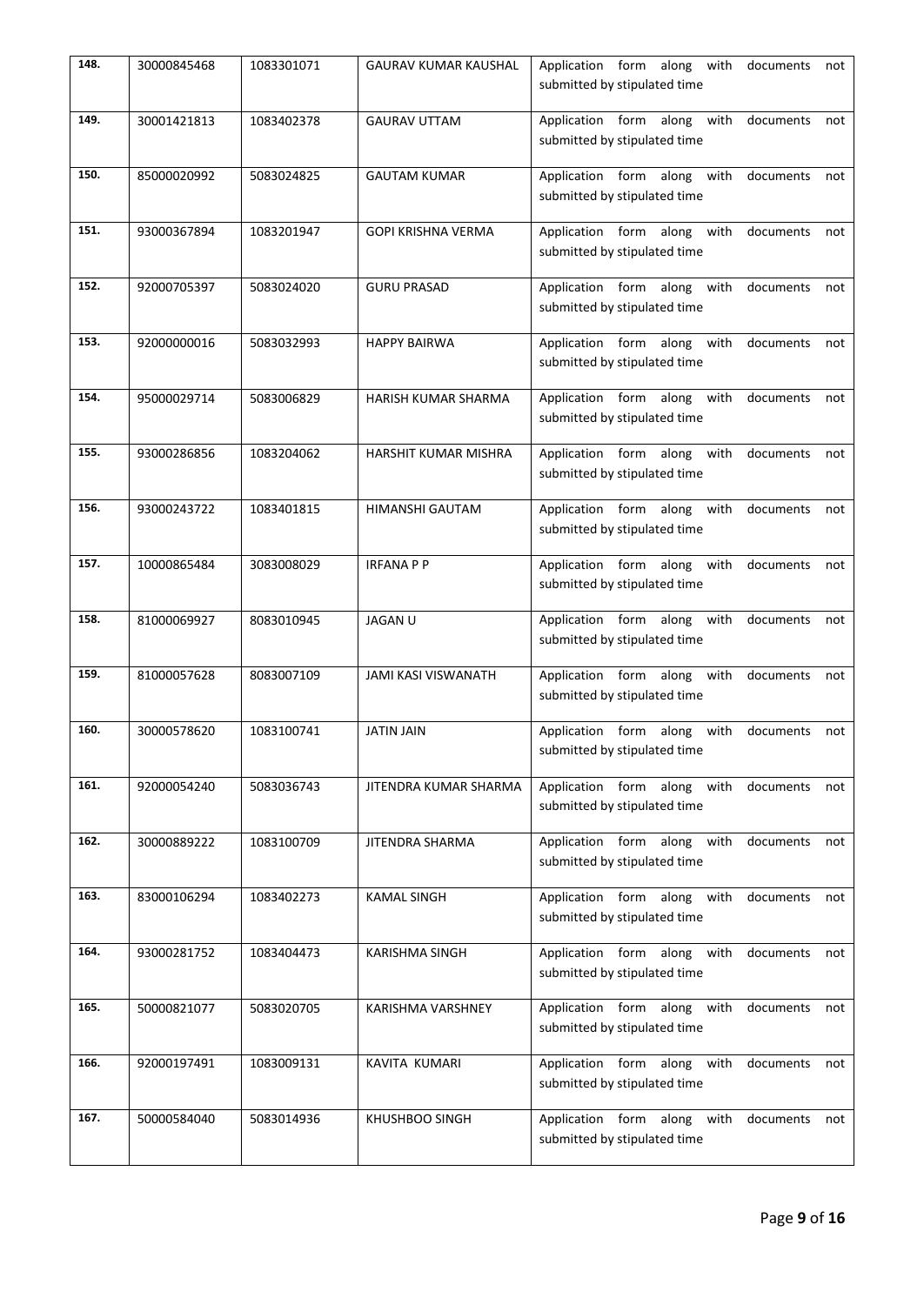| 148. | 30000845468 | 1083301071 | <b>GAURAV KUMAR KAUSHAL</b> | Application form along with documents<br>not<br>submitted by stipulated time    |
|------|-------------|------------|-----------------------------|---------------------------------------------------------------------------------|
| 149. | 30001421813 | 1083402378 | <b>GAURAV UTTAM</b>         | Application form along with documents<br>not<br>submitted by stipulated time    |
| 150. | 85000020992 | 5083024825 | <b>GAUTAM KUMAR</b>         | Application form along with documents<br>not<br>submitted by stipulated time    |
| 151. | 93000367894 | 1083201947 | GOPI KRISHNA VERMA          | Application form along with documents<br>not<br>submitted by stipulated time    |
| 152. | 92000705397 | 5083024020 | <b>GURU PRASAD</b>          | Application form along with documents<br>not<br>submitted by stipulated time    |
| 153. | 92000000016 | 5083032993 | <b>HAPPY BAIRWA</b>         | Application form along with<br>documents<br>not<br>submitted by stipulated time |
| 154. | 95000029714 | 5083006829 | <b>HARISH KUMAR SHARMA</b>  | Application form along with<br>documents<br>not<br>submitted by stipulated time |
| 155. | 93000286856 | 1083204062 | HARSHIT KUMAR MISHRA        | Application form along with<br>documents<br>not<br>submitted by stipulated time |
| 156. | 93000243722 | 1083401815 | HIMANSHI GAUTAM             | Application form along with documents<br>not<br>submitted by stipulated time    |
| 157. | 10000865484 | 3083008029 | <b>IRFANAPP</b>             | Application form along with<br>documents<br>not<br>submitted by stipulated time |
| 158. | 81000069927 | 8083010945 | <b>JAGAN U</b>              | Application form along with<br>documents<br>not<br>submitted by stipulated time |
| 159. | 81000057628 | 8083007109 | JAMI KASI VISWANATH         | Application form along with<br>documents<br>not<br>submitted by stipulated time |
| 160. | 30000578620 | 1083100741 | <b>JATIN JAIN</b>           | Application form along with<br>documents<br>not<br>submitted by stipulated time |
| 161. | 92000054240 | 5083036743 | JITENDRA KUMAR SHARMA       | Application form along with<br>documents<br>not<br>submitted by stipulated time |
| 162. | 30000889222 | 1083100709 | JITENDRA SHARMA             | Application form along with<br>documents<br>not<br>submitted by stipulated time |
| 163. | 83000106294 | 1083402273 | <b>KAMAL SINGH</b>          | Application form along with<br>documents<br>not<br>submitted by stipulated time |
| 164. | 93000281752 | 1083404473 | KARISHMA SINGH              | Application form along with<br>documents<br>not<br>submitted by stipulated time |
| 165. | 50000821077 | 5083020705 | KARISHMA VARSHNEY           | Application form along with<br>documents<br>not<br>submitted by stipulated time |
| 166. | 92000197491 | 1083009131 | KAVITA KUMARI               | Application form along with<br>documents<br>not<br>submitted by stipulated time |
| 167. | 50000584040 | 5083014936 | KHUSHBOO SINGH              | Application form along with<br>documents<br>not<br>submitted by stipulated time |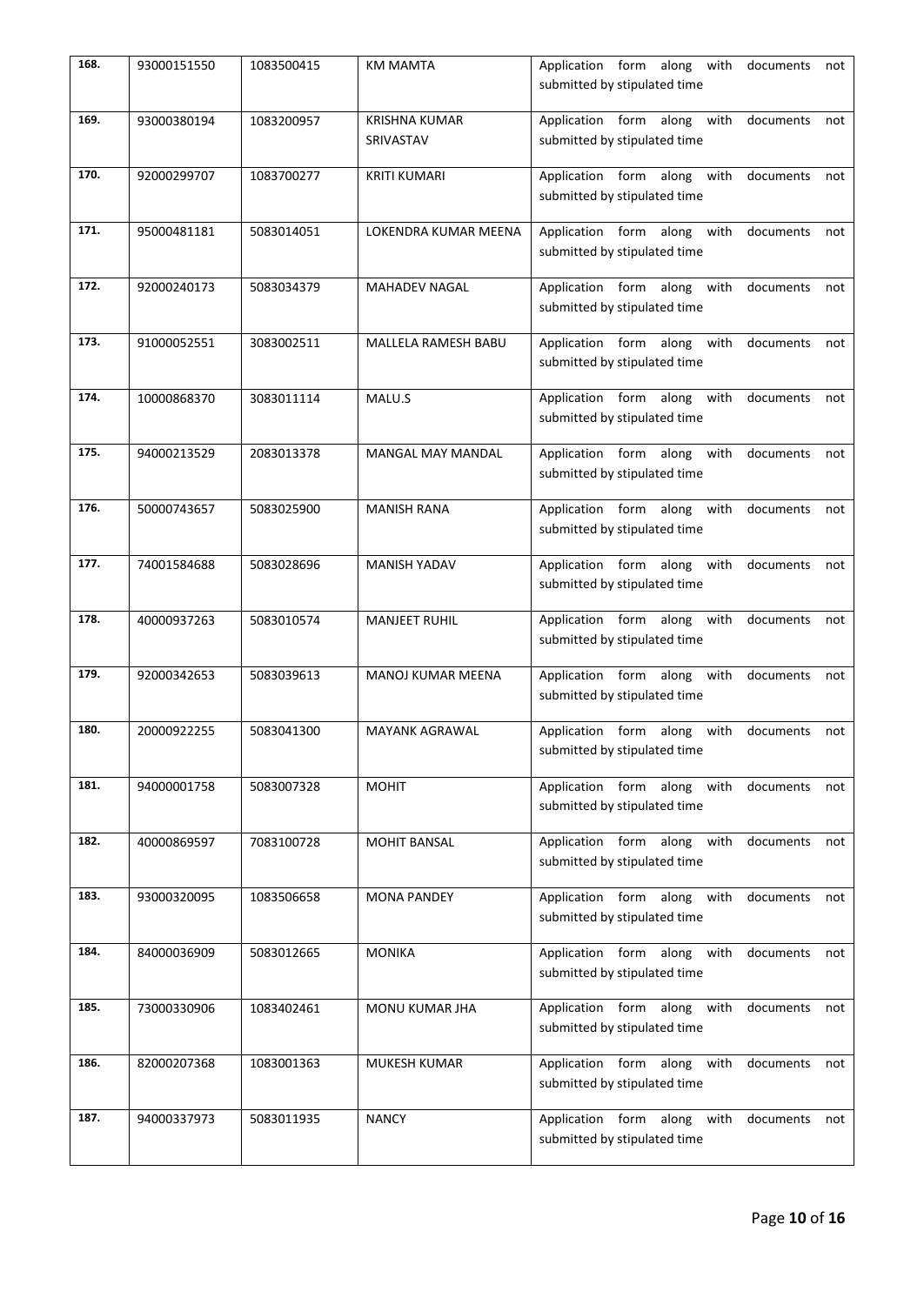| 168. | 93000151550 | 1083500415 | <b>KM MAMTA</b>                   | Application form along with documents<br>not<br>submitted by stipulated time    |
|------|-------------|------------|-----------------------------------|---------------------------------------------------------------------------------|
| 169. | 93000380194 | 1083200957 | <b>KRISHNA KUMAR</b><br>SRIVASTAV | Application form along with<br>documents<br>not<br>submitted by stipulated time |
| 170. | 92000299707 | 1083700277 | <b>KRITI KUMARI</b>               | Application form along with<br>documents<br>not<br>submitted by stipulated time |
| 171. | 95000481181 | 5083014051 | LOKENDRA KUMAR MEENA              | Application form along with<br>documents<br>not<br>submitted by stipulated time |
| 172. | 92000240173 | 5083034379 | <b>MAHADEV NAGAL</b>              | Application form along with<br>documents<br>not<br>submitted by stipulated time |
| 173. | 91000052551 | 3083002511 | MALLELA RAMESH BABU               | Application form along with<br>documents<br>not<br>submitted by stipulated time |
| 174. | 10000868370 | 3083011114 | MALU.S                            | Application form along with<br>documents<br>not<br>submitted by stipulated time |
| 175. | 94000213529 | 2083013378 | <b>MANGAL MAY MANDAL</b>          | Application form along with<br>documents<br>not<br>submitted by stipulated time |
| 176. | 50000743657 | 5083025900 | <b>MANISH RANA</b>                | Application form along with<br>documents<br>not<br>submitted by stipulated time |
| 177. | 74001584688 | 5083028696 | MANISH YADAV                      | Application form along with<br>documents<br>not<br>submitted by stipulated time |
| 178. | 40000937263 | 5083010574 | <b>MANJEET RUHIL</b>              | Application form along with<br>documents<br>not<br>submitted by stipulated time |
| 179. | 92000342653 | 5083039613 | <b>MANOJ KUMAR MEENA</b>          | Application form along with<br>documents<br>not<br>submitted by stipulated time |
| 180. | 20000922255 | 5083041300 | <b>MAYANK AGRAWAL</b>             | Application form along with<br>documents<br>not<br>submitted by stipulated time |
| 181. | 94000001758 | 5083007328 | <b>MOHIT</b>                      | Application form along with documents<br>not<br>submitted by stipulated time    |
| 182. | 40000869597 | 7083100728 | MOHIT BANSAL                      | Application form along with<br>documents<br>not<br>submitted by stipulated time |
| 183. | 93000320095 | 1083506658 | <b>MONA PANDEY</b>                | Application form along with<br>documents<br>not<br>submitted by stipulated time |
| 184. | 84000036909 | 5083012665 | <b>MONIKA</b>                     | Application form along with<br>documents<br>not<br>submitted by stipulated time |
| 185. | 73000330906 | 1083402461 | MONU KUMAR JHA                    | Application form along with<br>documents<br>not<br>submitted by stipulated time |
| 186. | 82000207368 | 1083001363 | MUKESH KUMAR                      | Application form along with<br>documents<br>not<br>submitted by stipulated time |
| 187. | 94000337973 | 5083011935 | <b>NANCY</b>                      | Application form along with<br>documents<br>not<br>submitted by stipulated time |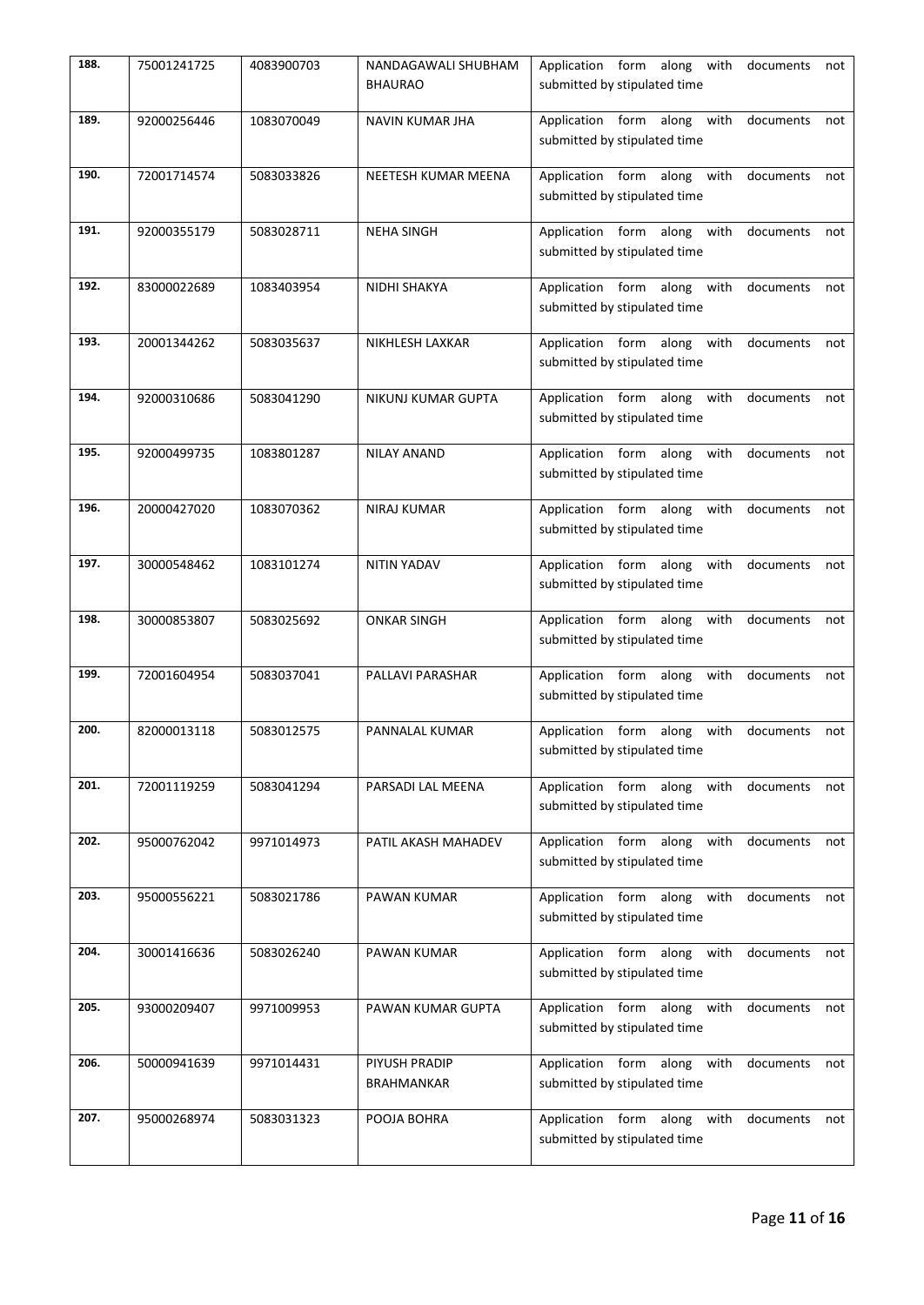| 188. | 75001241725 | 4083900703 | NANDAGAWALI SHUBHAM<br><b>BHAURAO</b> | Application form along with documents<br>not<br>submitted by stipulated time    |
|------|-------------|------------|---------------------------------------|---------------------------------------------------------------------------------|
| 189. | 92000256446 | 1083070049 | NAVIN KUMAR JHA                       | Application form along with<br>documents<br>not<br>submitted by stipulated time |
| 190. | 72001714574 | 5083033826 | NEETESH KUMAR MEENA                   | Application form along with<br>documents<br>not<br>submitted by stipulated time |
| 191. | 92000355179 | 5083028711 | <b>NEHA SINGH</b>                     | Application form along with<br>documents<br>not<br>submitted by stipulated time |
| 192. | 83000022689 | 1083403954 | NIDHI SHAKYA                          | Application form along with<br>documents<br>not<br>submitted by stipulated time |
| 193. | 20001344262 | 5083035637 | NIKHLESH LAXKAR                       | Application form along with<br>documents<br>not<br>submitted by stipulated time |
| 194. | 92000310686 | 5083041290 | NIKUNJ KUMAR GUPTA                    | Application form along with documents<br>not<br>submitted by stipulated time    |
| 195. | 92000499735 | 1083801287 | <b>NILAY ANAND</b>                    | Application form along with<br>documents<br>not<br>submitted by stipulated time |
| 196. | 20000427020 | 1083070362 | <b>NIRAJ KUMAR</b>                    | Application form along with<br>documents<br>not<br>submitted by stipulated time |
| 197. | 30000548462 | 1083101274 | NITIN YADAV                           | Application form along with<br>documents<br>not<br>submitted by stipulated time |
| 198. | 30000853807 | 5083025692 | <b>ONKAR SINGH</b>                    | Application form along with<br>documents<br>not<br>submitted by stipulated time |
| 199. | 72001604954 | 5083037041 | PALLAVI PARASHAR                      | Application form along with<br>documents<br>not<br>submitted by stipulated time |
| 200. | 82000013118 | 5083012575 | PANNALAL KUMAR                        | Application form along with<br>documents<br>not<br>submitted by stipulated time |
| 201. | 72001119259 | 5083041294 | PARSADI LAL MEENA                     | Application form along with<br>documents<br>not<br>submitted by stipulated time |
| 202. | 95000762042 | 9971014973 | PATIL AKASH MAHADEV                   | Application form along with<br>documents<br>not<br>submitted by stipulated time |
| 203. | 95000556221 | 5083021786 | PAWAN KUMAR                           | Application form along with<br>documents<br>not<br>submitted by stipulated time |
| 204. | 30001416636 | 5083026240 | PAWAN KUMAR                           | Application form along with<br>documents<br>not<br>submitted by stipulated time |
| 205. | 93000209407 | 9971009953 | PAWAN KUMAR GUPTA                     | Application form along with<br>documents<br>not<br>submitted by stipulated time |
| 206. | 50000941639 | 9971014431 | PIYUSH PRADIP<br>BRAHMANKAR           | Application form along with<br>documents<br>not<br>submitted by stipulated time |
| 207. | 95000268974 | 5083031323 | POOJA BOHRA                           | Application form along with<br>documents<br>not<br>submitted by stipulated time |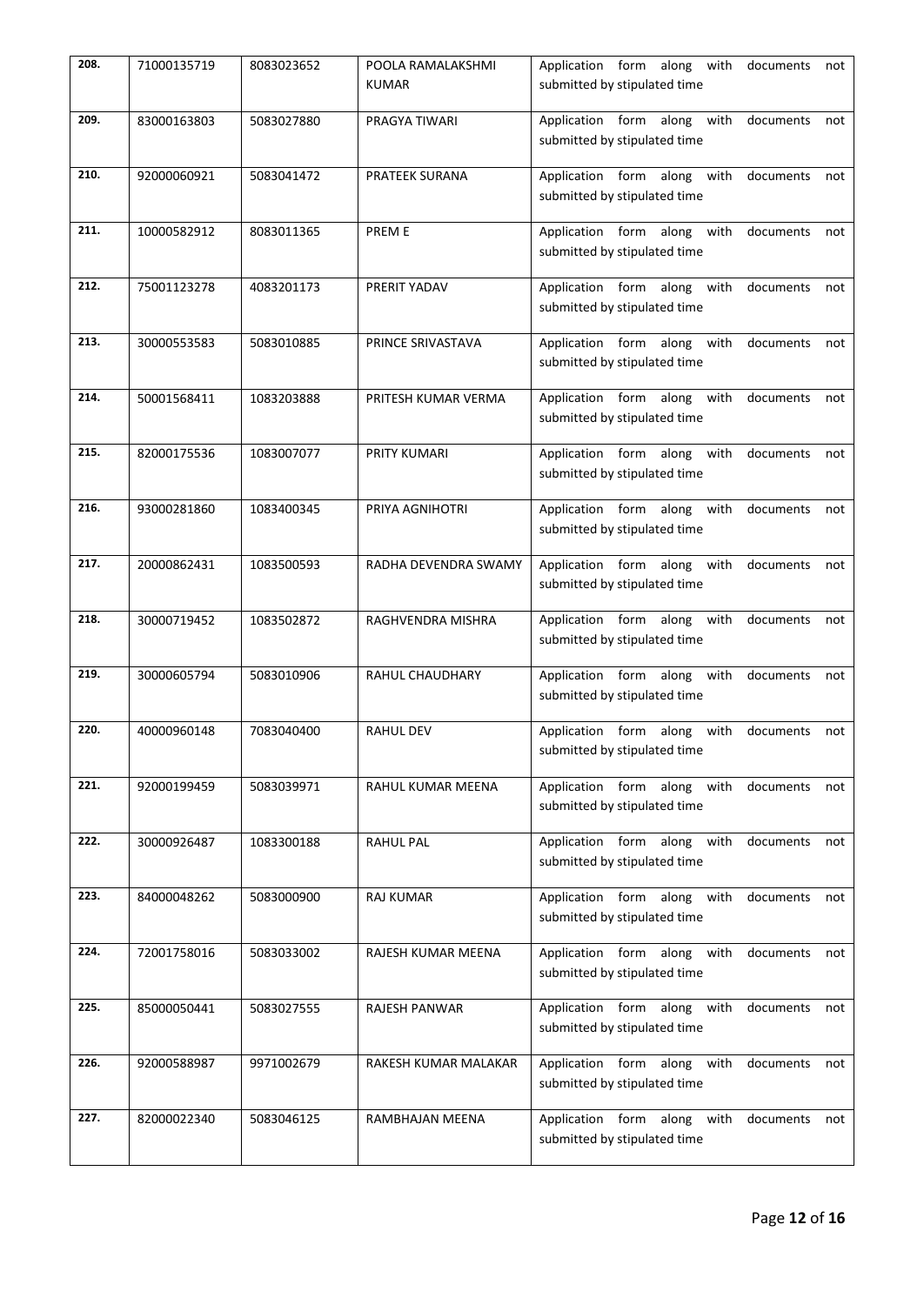| 208. | 71000135719 | 8083023652 | POOLA RAMALAKSHMI<br><b>KUMAR</b> | Application form along with documents<br>not<br>submitted by stipulated time    |
|------|-------------|------------|-----------------------------------|---------------------------------------------------------------------------------|
| 209. | 83000163803 | 5083027880 | PRAGYA TIWARI                     | Application form along with<br>documents<br>not<br>submitted by stipulated time |
| 210. | 92000060921 | 5083041472 | <b>PRATEEK SURANA</b>             | Application form along with<br>documents<br>not<br>submitted by stipulated time |
| 211. | 10000582912 | 8083011365 | <b>PREME</b>                      | Application form along with<br>documents<br>not<br>submitted by stipulated time |
| 212. | 75001123278 | 4083201173 | PRERIT YADAV                      | Application form along with<br>documents<br>not<br>submitted by stipulated time |
| 213. | 30000553583 | 5083010885 | PRINCE SRIVASTAVA                 | Application form along with<br>documents<br>not<br>submitted by stipulated time |
| 214. | 50001568411 | 1083203888 | PRITESH KUMAR VERMA               | Application form along with documents<br>not<br>submitted by stipulated time    |
| 215. | 82000175536 | 1083007077 | PRITY KUMARI                      | Application form along with<br>documents<br>not<br>submitted by stipulated time |
| 216. | 93000281860 | 1083400345 | PRIYA AGNIHOTRI                   | Application form along with<br>documents<br>not<br>submitted by stipulated time |
| 217. | 20000862431 | 1083500593 | RADHA DEVENDRA SWAMY              | Application form along with<br>documents<br>not<br>submitted by stipulated time |
| 218. | 30000719452 | 1083502872 | RAGHVENDRA MISHRA                 | Application form along with<br>documents<br>not<br>submitted by stipulated time |
| 219. | 30000605794 | 5083010906 | RAHUL CHAUDHARY                   | Application form along with<br>documents<br>not<br>submitted by stipulated time |
| 220. | 40000960148 | 7083040400 | <b>RAHUL DEV</b>                  | Application form along with<br>documents<br>not<br>submitted by stipulated time |
| 221. | 92000199459 | 5083039971 | RAHUL KUMAR MEENA                 | Application form along with documents<br>not<br>submitted by stipulated time    |
| 222. | 30000926487 | 1083300188 | <b>RAHUL PAL</b>                  | Application form along with<br>documents<br>not<br>submitted by stipulated time |
| 223. | 84000048262 | 5083000900 | <b>RAJ KUMAR</b>                  | Application form along with<br>documents<br>not<br>submitted by stipulated time |
| 224. | 72001758016 | 5083033002 | RAJESH KUMAR MEENA                | Application form along with<br>documents<br>not<br>submitted by stipulated time |
| 225. | 85000050441 | 5083027555 | RAJESH PANWAR                     | Application form along with<br>documents<br>not<br>submitted by stipulated time |
| 226. | 92000588987 | 9971002679 | RAKESH KUMAR MALAKAR              | Application form along with<br>documents<br>not<br>submitted by stipulated time |
| 227. | 82000022340 | 5083046125 | RAMBHAJAN MEENA                   | Application form along with<br>documents<br>not<br>submitted by stipulated time |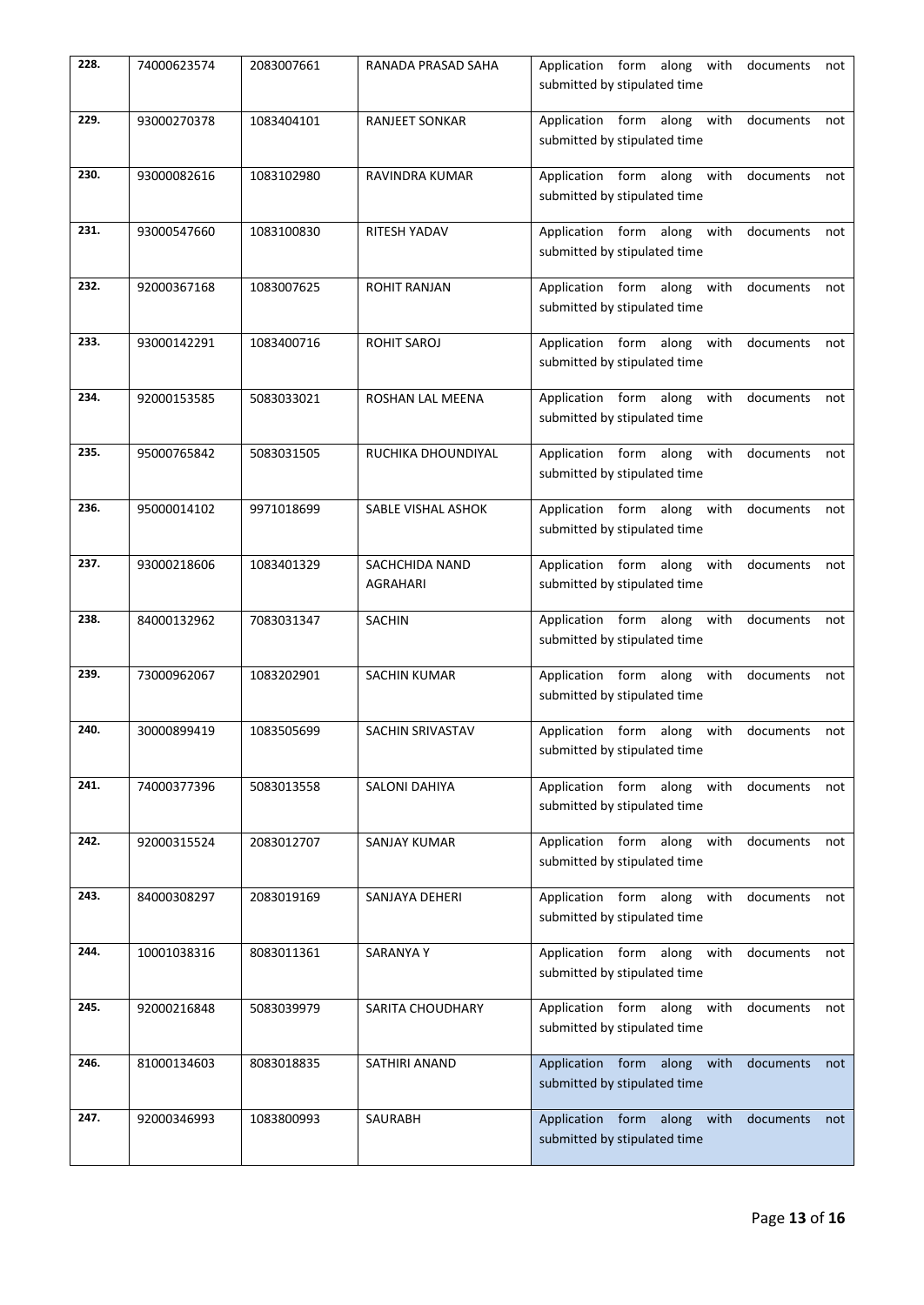| 228. | 74000623574 | 2083007661 | RANADA PRASAD SAHA         | Application form along with documents<br>not<br>submitted by stipulated time    |
|------|-------------|------------|----------------------------|---------------------------------------------------------------------------------|
| 229. | 93000270378 | 1083404101 | <b>RANJEET SONKAR</b>      | Application form along with documents<br>not<br>submitted by stipulated time    |
| 230. | 93000082616 | 1083102980 | RAVINDRA KUMAR             | Application form along with documents<br>not<br>submitted by stipulated time    |
| 231. | 93000547660 | 1083100830 | RITESH YADAV               | Application form along with documents<br>not<br>submitted by stipulated time    |
| 232. | 92000367168 | 1083007625 | <b>ROHIT RANJAN</b>        | Application form along with documents<br>not<br>submitted by stipulated time    |
| 233. | 93000142291 | 1083400716 | <b>ROHIT SAROJ</b>         | Application form along with<br>documents<br>not<br>submitted by stipulated time |
| 234. | 92000153585 | 5083033021 | ROSHAN LAL MEENA           | Application form along with<br>documents<br>not<br>submitted by stipulated time |
| 235. | 95000765842 | 5083031505 | RUCHIKA DHOUNDIYAL         | Application form along with documents<br>not<br>submitted by stipulated time    |
| 236. | 95000014102 | 9971018699 | SABLE VISHAL ASHOK         | Application form along with documents<br>not<br>submitted by stipulated time    |
| 237. | 93000218606 | 1083401329 | SACHCHIDA NAND<br>AGRAHARI | Application form along with<br>documents<br>not<br>submitted by stipulated time |
| 238. | 84000132962 | 7083031347 | <b>SACHIN</b>              | Application form along with<br>documents<br>not<br>submitted by stipulated time |
| 239. | 73000962067 | 1083202901 | <b>SACHIN KUMAR</b>        | Application form along with<br>documents<br>not<br>submitted by stipulated time |
| 240. | 30000899419 | 1083505699 | SACHIN SRIVASTAV           | Application form along with<br>documents<br>not<br>submitted by stipulated time |
| 241. | 74000377396 | 5083013558 | SALONI DAHIYA              | Application form along with<br>documents<br>not<br>submitted by stipulated time |
| 242. | 92000315524 | 2083012707 | SANJAY KUMAR               | Application form along with<br>documents<br>not<br>submitted by stipulated time |
| 243. | 84000308297 | 2083019169 | SANJAYA DEHERI             | Application form along with<br>documents<br>not<br>submitted by stipulated time |
| 244. | 10001038316 | 8083011361 | <b>SARANYAY</b>            | Application form along with<br>documents<br>not<br>submitted by stipulated time |
| 245. | 92000216848 | 5083039979 | SARITA CHOUDHARY           | Application form along with<br>documents<br>not<br>submitted by stipulated time |
| 246. | 81000134603 | 8083018835 | SATHIRI ANAND              | Application form along with<br>documents<br>not<br>submitted by stipulated time |
| 247. | 92000346993 | 1083800993 | SAURABH                    | Application form along with<br>documents<br>not<br>submitted by stipulated time |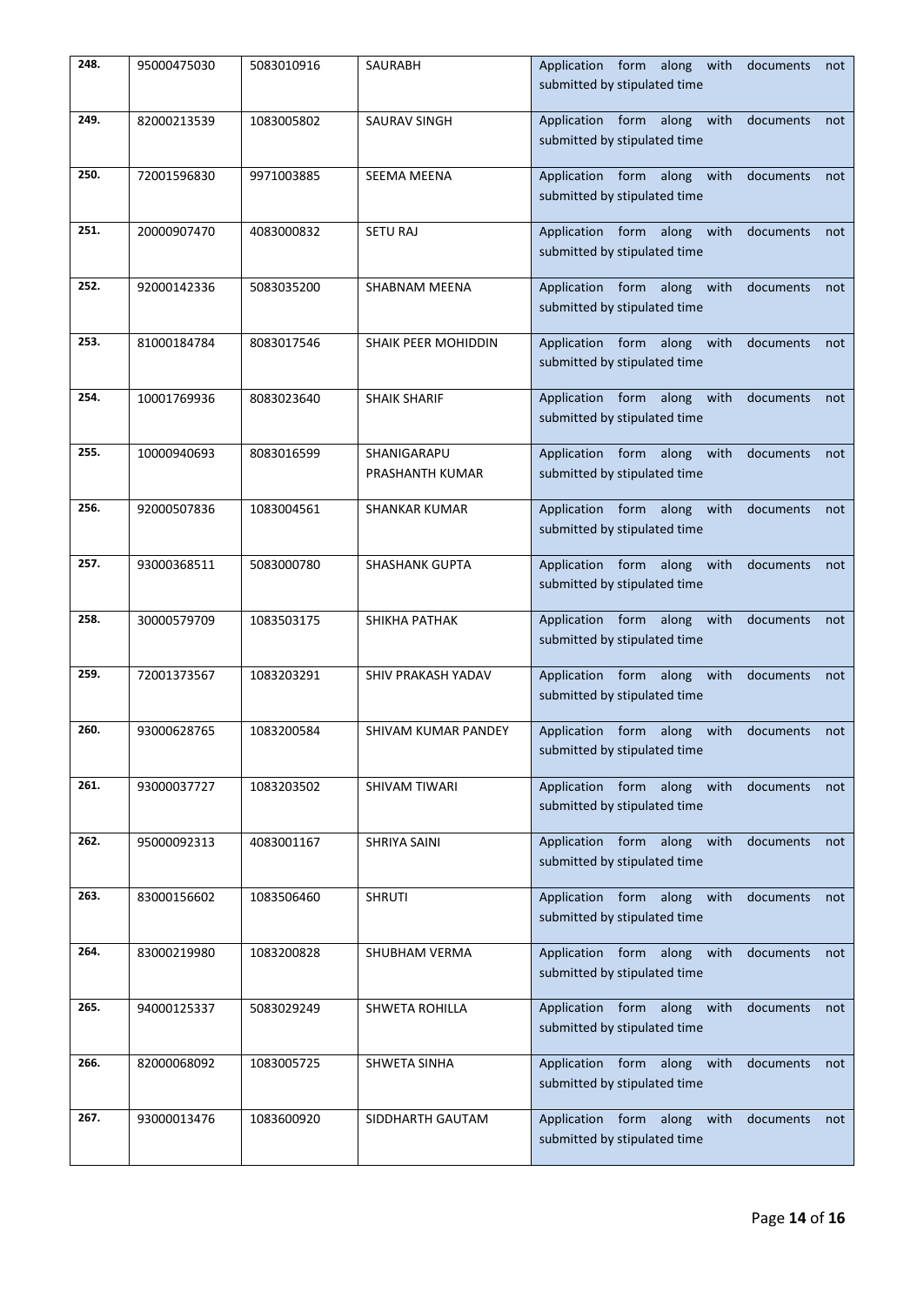| 248. | 95000475030 | 5083010916 | SAURABH                        | Application form along with documents not<br>submitted by stipulated time          |
|------|-------------|------------|--------------------------------|------------------------------------------------------------------------------------|
| 249. | 82000213539 | 1083005802 | <b>SAURAV SINGH</b>            | Application form along with<br>documents<br>not<br>submitted by stipulated time    |
| 250. | 72001596830 | 9971003885 | SEEMA MEENA                    | Application form along with<br>documents<br>not<br>submitted by stipulated time    |
| 251. | 20000907470 | 4083000832 | <b>SETU RAJ</b>                | Application form along with<br>documents<br>not<br>submitted by stipulated time    |
| 252. | 92000142336 | 5083035200 | SHABNAM MEENA                  | Application form along with documents<br>not<br>submitted by stipulated time       |
| 253. | 81000184784 | 8083017546 | SHAIK PEER MOHIDDIN            | Application form along with<br>documents<br>not<br>submitted by stipulated time    |
| 254. | 10001769936 | 8083023640 | <b>SHAIK SHARIF</b>            | Application form along with<br>documents<br>not<br>submitted by stipulated time    |
| 255. | 10000940693 | 8083016599 | SHANIGARAPU<br>PRASHANTH KUMAR | Application form along with<br>documents<br>not<br>submitted by stipulated time    |
| 256. | 92000507836 | 1083004561 | <b>SHANKAR KUMAR</b>           | Application form along with<br>documents<br>not<br>submitted by stipulated time    |
| 257. | 93000368511 | 5083000780 | <b>SHASHANK GUPTA</b>          | Application form along with<br>documents<br>not<br>submitted by stipulated time    |
| 258. | 30000579709 | 1083503175 | SHIKHA PATHAK                  | Application form along with<br>documents<br>not<br>submitted by stipulated time    |
| 259. | 72001373567 | 1083203291 | SHIV PRAKASH YADAV             | Application form along with<br>documents<br>not<br>submitted by stipulated time    |
| 260. | 93000628765 | 1083200584 | SHIVAM KUMAR PANDEY            | Application form along<br>with<br>documents<br>not<br>submitted by stipulated time |
| 261. | 93000037727 | 1083203502 | SHIVAM TIWARI                  | Application form along with<br>documents<br>not<br>submitted by stipulated time    |
| 262. | 95000092313 | 4083001167 | SHRIYA SAINI                   | Application form along<br>with<br>documents<br>not<br>submitted by stipulated time |
| 263. | 83000156602 | 1083506460 | <b>SHRUTI</b>                  | Application form along<br>with<br>documents<br>not<br>submitted by stipulated time |
| 264. | 83000219980 | 1083200828 | SHUBHAM VERMA                  | Application form along<br>with<br>documents<br>not<br>submitted by stipulated time |
| 265. | 94000125337 | 5083029249 | SHWETA ROHILLA                 | Application form along<br>with<br>documents<br>not<br>submitted by stipulated time |
| 266. | 82000068092 | 1083005725 | SHWETA SINHA                   | Application form along<br>with<br>documents<br>not<br>submitted by stipulated time |
| 267. | 93000013476 | 1083600920 | SIDDHARTH GAUTAM               | Application form along<br>with<br>documents<br>not<br>submitted by stipulated time |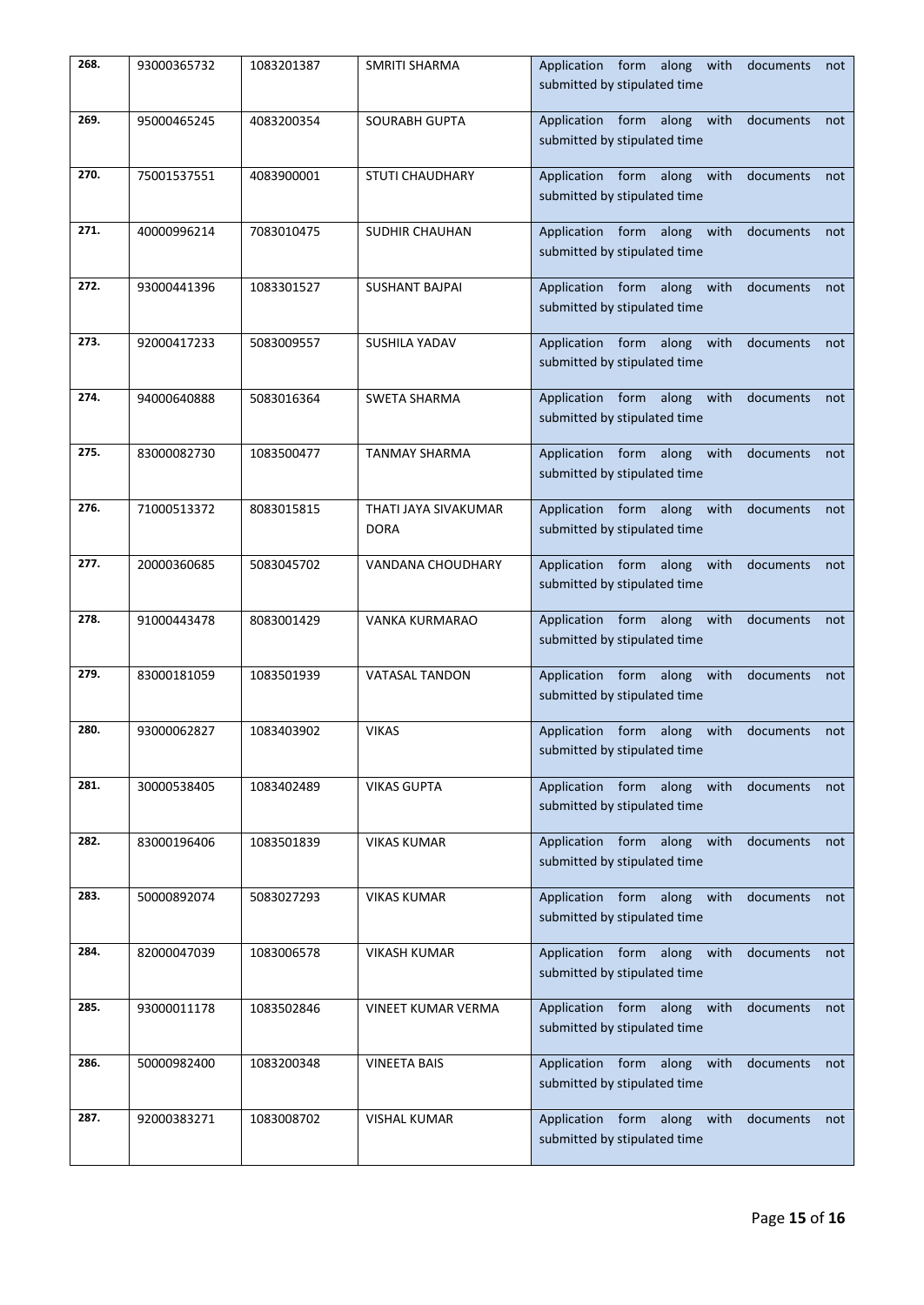| 268. | 93000365732 | 1083201387 | SMRITI SHARMA                       | Application form along with documents<br>not<br>submitted by stipulated time       |
|------|-------------|------------|-------------------------------------|------------------------------------------------------------------------------------|
| 269. | 95000465245 | 4083200354 | <b>SOURABH GUPTA</b>                | Application form along with<br>documents<br>not<br>submitted by stipulated time    |
| 270. | 75001537551 | 4083900001 | <b>STUTI CHAUDHARY</b>              | Application form along with<br>documents<br>not<br>submitted by stipulated time    |
| 271. | 40000996214 | 7083010475 | SUDHIR CHAUHAN                      | Application form along with documents<br>not<br>submitted by stipulated time       |
| 272. | 93000441396 | 1083301527 | <b>SUSHANT BAJPAI</b>               | Application form along with documents<br>not<br>submitted by stipulated time       |
| 273. | 92000417233 | 5083009557 | SUSHILA YADAV                       | Application form along with<br>documents<br>not<br>submitted by stipulated time    |
| 274. | 94000640888 | 5083016364 | <b>SWETA SHARMA</b>                 | Application form along with<br>documents<br>not<br>submitted by stipulated time    |
| 275. | 83000082730 | 1083500477 | <b>TANMAY SHARMA</b>                | Application form along with<br>documents<br>not<br>submitted by stipulated time    |
| 276. | 71000513372 | 8083015815 | THATI JAYA SIVAKUMAR<br><b>DORA</b> | Application form along with<br>documents<br>not<br>submitted by stipulated time    |
| 277. | 20000360685 | 5083045702 | VANDANA CHOUDHARY                   | Application form along with<br>documents<br>not<br>submitted by stipulated time    |
| 278. | 91000443478 | 8083001429 | VANKA KURMARAO                      | Application form along with<br>documents<br>not<br>submitted by stipulated time    |
| 279. | 83000181059 | 1083501939 | <b>VATASAL TANDON</b>               | Application form along with<br>documents<br>not<br>submitted by stipulated time    |
| 280. | 93000062827 | 1083403902 | <b>VIKAS</b>                        | Application form along with<br>documents<br>not<br>submitted by stipulated time    |
| 281. | 30000538405 | 1083402489 | <b>VIKAS GUPTA</b>                  | Application form along with<br>documents<br>not<br>submitted by stipulated time    |
| 282. | 83000196406 | 1083501839 | <b>VIKAS KUMAR</b>                  | Application form along with<br>documents<br>not<br>submitted by stipulated time    |
| 283. | 50000892074 | 5083027293 | <b>VIKAS KUMAR</b>                  | Application form along<br>with<br>documents<br>not<br>submitted by stipulated time |
| 284. | 82000047039 | 1083006578 | <b>VIKASH KUMAR</b>                 | Application form along<br>with<br>documents<br>not<br>submitted by stipulated time |
| 285. | 93000011178 | 1083502846 | VINEET KUMAR VERMA                  | Application form along<br>with<br>documents<br>not<br>submitted by stipulated time |
| 286. | 50000982400 | 1083200348 | <b>VINEETA BAIS</b>                 | Application form along<br>with<br>documents<br>not<br>submitted by stipulated time |
| 287. | 92000383271 | 1083008702 | <b>VISHAL KUMAR</b>                 | Application form along<br>with<br>documents<br>not<br>submitted by stipulated time |